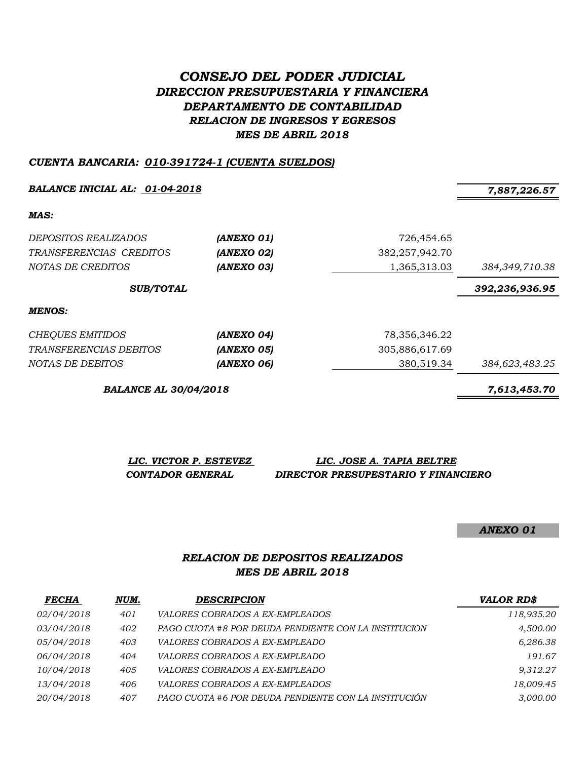# *CONSEJO DEL PODER JUDICIAL DIRECCION PRESUPUESTARIA Y FINANCIERA DEPARTAMENTO DE CONTABILIDAD RELACION DE INGRESOS Y EGRESOS MES DE ABRIL 2018*

#### *CUENTA BANCARIA: 010-391724-1 (CUENTA SUELDOS)*

*BALANCE INICIAL AL: 01-04-2018 7,887,226.57*

*MAS:*

| <i>DEPOSITOS REALIZADOS</i><br>TRANSFERENCIAS CREDITOS<br>NOTAS DE CREDITOS | (ANEXO 01)<br>(ANEXO 02)<br>(ANEXO 03) | 726,454.65<br>382, 257, 942. 70<br>1,365,313.03 | 384,349,710.38 |
|-----------------------------------------------------------------------------|----------------------------------------|-------------------------------------------------|----------------|
| <b>SUB/TOTAL</b>                                                            |                                        |                                                 | 392,236,936.95 |
| MENOS:                                                                      |                                        |                                                 |                |
| <b>CHEQUES EMITIDOS</b>                                                     | (ANEXO 04)                             | 78,356,346.22                                   |                |
| TRANSFERENCIAS DEBITOS                                                      | (ANEXO 05)                             | 305,886,617.69                                  |                |
| NOTAS DE DEBITOS                                                            | (ANEXO 06)                             | 380.519.34                                      | 384,623,483.25 |

*BALANCE AL 30/04/2018 7,613,453.70*

*LIC. VICTOR P. ESTEVEZ LIC. JOSE A. TAPIA BELTRE CONTADOR GENERAL DIRECTOR PRESUPESTARIO Y FINANCIERO*

*ANEXO 01*

### *RELACION DE DEPOSITOS REALIZADOS MES DE ABRIL 2018*

| <b>FECHA</b>      | NUM. | <b>DESCRIPCION</b>                                   | <b>VALOR RD\$</b> |
|-------------------|------|------------------------------------------------------|-------------------|
| <i>02/04/2018</i> | 401  | VALORES COBRADOS A EX-EMPLEADOS                      | 118,935.20        |
| 03/04/2018        | 402  | PAGO CUOTA #8 POR DEUDA PENDIENTE CON LA INSTITUCION | 4,500.00          |
| 05/04/2018        | 403  | <i>VALORES COBRADOS A EX-EMPLEADO</i>                | 6,286.38          |
| 06/04/2018        | 404  | VALORES COBRADOS A EX-EMPLEADO                       | 191.67            |
| 10/04/2018        | 405  | <i>VALORES COBRADOS A EX-EMPLEADO</i>                | 9.312.27          |
| 13/04/2018        | 406  | <i>VALORES COBRADOS A EX-EMPLEADOS</i>               | 18,009.45         |
| 20/04/2018        | 407  | PAGO CUOTA #6 POR DEUDA PENDIENTE CON LA INSTITUCIÓN | 3,000.00          |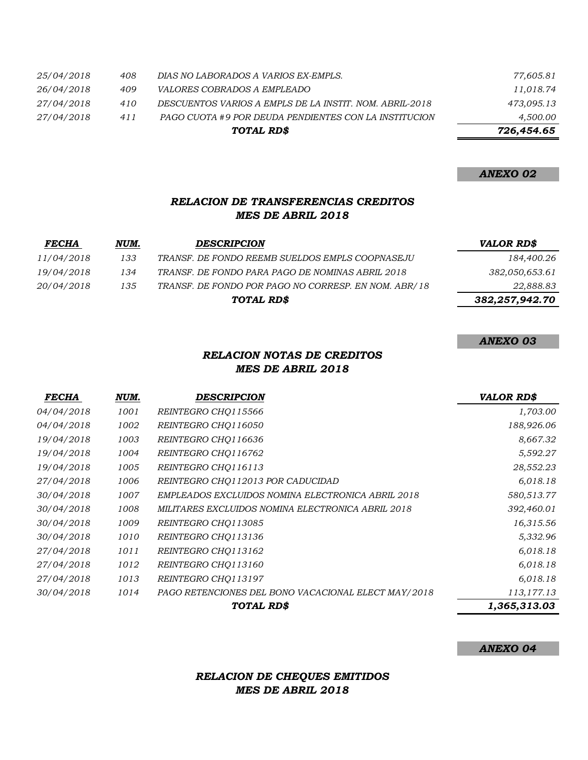|            |     | TOTAL RD\$                                              | 726,454.65 |
|------------|-----|---------------------------------------------------------|------------|
| 27/04/2018 | 411 | PAGO CUOTA #9 POR DEUDA PENDIENTES CON LA INSTITUCION   | 4,500.00   |
| 27/04/2018 | 410 | DESCUENTOS VARIOS A EMPLS DE LA INSTIT. NOM. ABRIL-2018 | 473,095.13 |
| 26/04/2018 | 409 | <i>VALORES COBRADOS A EMPLEADO</i>                      | 11,018.74  |
| 25/04/2018 | 408 | DIAS NO LABORADOS A VARIOS EX-EMPLS.                    | 77,605.81  |

#### *ANEXO 02*

## *RELACION DE TRANSFERENCIAS CREDITOS MES DE ABRIL 2018*

| <b>FECHA</b> | NUM. | <b>DESCRIPCION</b>                                   | <b>VALOR RD\$</b> |
|--------------|------|------------------------------------------------------|-------------------|
| 11/04/2018   | 133  | TRANSF. DE FONDO REEMB SUELDOS EMPLS COOPNASEJU      | 184,400.26        |
| 19/04/2018   | 134  | TRANSF. DE FONDO PARA PAGO DE NOMINAS ABRIL 2018     | 382,050,653.61    |
| 20/04/2018   | 135  | TRANSF. DE FONDO POR PAGO NO CORRESP. EN NOM. ABR/18 | 22,888.83         |
|              |      | TOTAL RD\$                                           | 382,257,942.70    |

#### *ANEXO 03*

## *RELACION NOTAS DE CREDITOS MES DE ABRIL 2018*

| <b>FECHA</b> | NUM. | <b>DESCRIPCION</b>                                  | <b>VALOR RD\$</b> |
|--------------|------|-----------------------------------------------------|-------------------|
| 04/04/2018   | 1001 | REINTEGRO CHO115566                                 | 1,703.00          |
| 04/04/2018   | 1002 | REINTEGRO CHO116050                                 | 188,926.06        |
| 19/04/2018   | 1003 | REINTEGRO CHO116636                                 | 8,667.32          |
| 19/04/2018   | 1004 | REINTEGRO CHO116762                                 | 5,592.27          |
| 19/04/2018   | 1005 | REINTEGRO CHO116113                                 | 28,552.23         |
| 27/04/2018   | 1006 | REINTEGRO CHQ112013 POR CADUCIDAD                   | 6,018.18          |
| 30/04/2018   | 1007 | EMPLEADOS EXCLUIDOS NOMINA ELECTRONICA ABRIL 2018   | 580,513.77        |
| 30/04/2018   | 1008 | MILITARES EXCLUIDOS NOMINA ELECTRONICA ABRIL 2018   | 392,460.01        |
| 30/04/2018   | 1009 | REINTEGRO CHO113085                                 | 16,315.56         |
| 30/04/2018   | 1010 | REINTEGRO CHO113136                                 | 5,332.96          |
| 27/04/2018   | 1011 | REINTEGRO CHO113162                                 | 6,018.18          |
| 27/04/2018   | 1012 | REINTEGRO CHO113160                                 | 6,018.18          |
| 27/04/2018   | 1013 | REINTEGRO CHO113197                                 | 6,018.18          |
| 30/04/2018   | 1014 | PAGO RETENCIONES DEL BONO VACACIONAL ELECT MAY/2018 | 113,177.13        |
|              |      | <b>TOTAL RDS</b>                                    | 1,365,313.03      |

### *ANEXO 04*

## *RELACION DE CHEQUES EMITIDOS MES DE ABRIL 2018*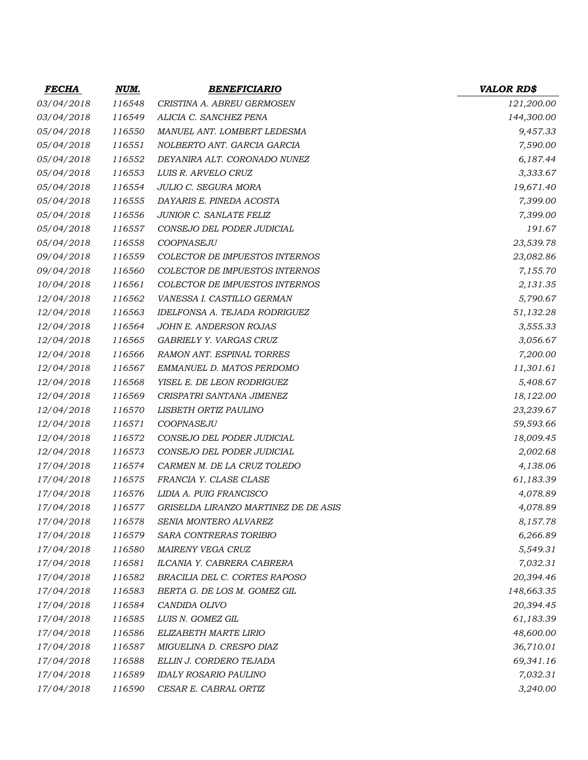| <i>FECHA</i> | <u>NUM.</u> | <b>BENEFICIARIO</b>                   | <b>VALOR RD\$</b> |
|--------------|-------------|---------------------------------------|-------------------|
| 03/04/2018   | 116548      | CRISTINA A. ABREU GERMOSEN            | 121,200.00        |
| 03/04/2018   | 116549      | ALICIA C. SANCHEZ PENA                | 144,300.00        |
| 05/04/2018   | 116550      | MANUEL ANT. LOMBERT LEDESMA           | 9,457.33          |
| 05/04/2018   | 116551      | NOLBERTO ANT. GARCIA GARCIA           | 7,590.00          |
| 05/04/2018   | 116552      | DEYANIRA ALT. CORONADO NUNEZ          | 6,187.44          |
| 05/04/2018   | 116553      | LUIS R. ARVELO CRUZ                   | 3,333.67          |
| 05/04/2018   | 116554      | JULIO C. SEGURA MORA                  | 19,671.40         |
| 05/04/2018   | 116555      | DAYARIS E. PINEDA ACOSTA              | 7,399.00          |
| 05/04/2018   | 116556      | JUNIOR C. SANLATE FELIZ               | 7,399.00          |
| 05/04/2018   | 116557      | CONSEJO DEL PODER JUDICIAL            | 191.67            |
| 05/04/2018   | 116558      | COOPNASEJU                            | 23,539.78         |
| 09/04/2018   | 116559      | COLECTOR DE IMPUESTOS INTERNOS        | 23,082.86         |
| 09/04/2018   | 116560      | <b>COLECTOR DE IMPUESTOS INTERNOS</b> | 7,155.70          |
| 10/04/2018   | 116561      | COLECTOR DE IMPUESTOS INTERNOS        | 2,131.35          |
| 12/04/2018   | 116562      | VANESSA I. CASTILLO GERMAN            | 5,790.67          |
| 12/04/2018   | 116563      | IDELFONSA A. TEJADA RODRIGUEZ         | 51,132.28         |
| 12/04/2018   | 116564      | JOHN E. ANDERSON ROJAS                | 3,555.33          |
| 12/04/2018   | 116565      | GABRIELY Y. VARGAS CRUZ               | 3,056.67          |
| 12/04/2018   | 116566      | RAMON ANT. ESPINAL TORRES             | 7,200.00          |
| 12/04/2018   | 116567      | EMMANUEL D. MATOS PERDOMO             | 11,301.61         |
| 12/04/2018   | 116568      | YISEL E. DE LEON RODRIGUEZ            | 5,408.67          |
| 12/04/2018   | 116569      | CRISPATRI SANTANA JIMENEZ             | 18,122.00         |
| 12/04/2018   | 116570      | LISBETH ORTIZ PAULINO                 | 23,239.67         |
| 12/04/2018   | 116571      | COOPNASEJU                            | 59,593.66         |
| 12/04/2018   | 116572      | CONSEJO DEL PODER JUDICIAL            | 18,009.45         |
| 12/04/2018   | 116573      | CONSEJO DEL PODER JUDICIAL            | 2,002.68          |
| 17/04/2018   | 116574      | CARMEN M. DE LA CRUZ TOLEDO           | 4,138.06          |
| 17/04/2018   | 116575      | FRANCIA Y. CLASE CLASE                | 61,183.39         |
| 17/04/2018   | 116576      | LIDIA A. PUIG FRANCISCO               | 4,078.89          |
| 17/04/2018   | 116577      | GRISELDA LIRANZO MARTINEZ DE DE ASIS  | 4,078.89          |
| 17/04/2018   | 116578      | SENIA MONTERO ALVAREZ                 | 8,157.78          |
| 17/04/2018   | 116579      | SARA CONTRERAS TORIBIO                | 6,266.89          |
| 17/04/2018   | 116580      | MAIRENY VEGA CRUZ                     | 5,549.31          |
| 17/04/2018   | 116581      | ILCANIA Y. CABRERA CABRERA            | 7,032.31          |
| 17/04/2018   | 116582      | BRACILIA DEL C. CORTES RAPOSO         | 20,394.46         |
| 17/04/2018   | 116583      | BERTA G. DE LOS M. GOMEZ GIL          | 148,663.35        |
| 17/04/2018   | 116584      | CANDIDA OLIVO                         | 20,394.45         |
| 17/04/2018   | 116585      | LUIS N. GOMEZ GIL                     | 61,183.39         |
| 17/04/2018   | 116586      | ELIZABETH MARTE LIRIO                 | 48,600.00         |
| 17/04/2018   | 116587      | MIGUELINA D. CRESPO DIAZ              | 36,710.01         |
| 17/04/2018   | 116588      | ELLIN J. CORDERO TEJADA               | 69,341.16         |
| 17/04/2018   | 116589      | <b>IDALY ROSARIO PAULINO</b>          | 7,032.31          |
| 17/04/2018   | 116590      | CESAR E. CABRAL ORTIZ                 | 3,240.00          |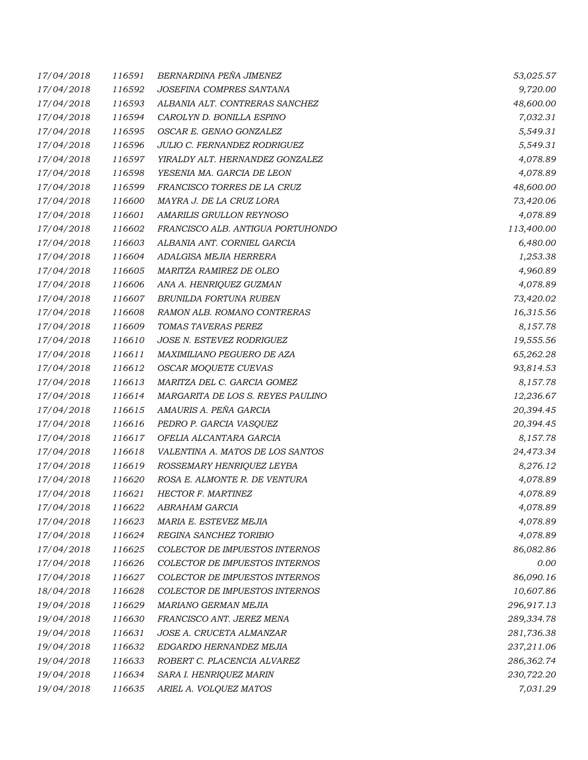| 17/04/2018 | 116591 | BERNARDINA PEÑA JIMENEZ           | 53,025.57  |
|------------|--------|-----------------------------------|------------|
| 17/04/2018 | 116592 | JOSEFINA COMPRES SANTANA          | 9,720.00   |
| 17/04/2018 | 116593 | ALBANIA ALT. CONTRERAS SANCHEZ    | 48,600.00  |
| 17/04/2018 | 116594 | CAROLYN D. BONILLA ESPINO         | 7,032.31   |
| 17/04/2018 | 116595 | OSCAR E. GENAO GONZALEZ           | 5,549.31   |
| 17/04/2018 | 116596 | JULIO C. FERNANDEZ RODRIGUEZ      | 5,549.31   |
| 17/04/2018 | 116597 | YIRALDY ALT. HERNANDEZ GONZALEZ   | 4,078.89   |
| 17/04/2018 | 116598 | YESENIA MA. GARCIA DE LEON        | 4,078.89   |
| 17/04/2018 | 116599 | FRANCISCO TORRES DE LA CRUZ       | 48,600.00  |
| 17/04/2018 | 116600 | MAYRA J. DE LA CRUZ LORA          | 73,420.06  |
| 17/04/2018 | 116601 | AMARILIS GRULLON REYNOSO          | 4,078.89   |
| 17/04/2018 | 116602 | FRANCISCO ALB. ANTIGUA PORTUHONDO | 113,400.00 |
| 17/04/2018 | 116603 | ALBANIA ANT. CORNIEL GARCIA       | 6,480.00   |
| 17/04/2018 | 116604 | ADALGISA MEJIA HERRERA            | 1,253.38   |
| 17/04/2018 | 116605 | MARITZA RAMIREZ DE OLEO           | 4,960.89   |
| 17/04/2018 | 116606 | ANA A. HENRIQUEZ GUZMAN           | 4,078.89   |
| 17/04/2018 | 116607 | BRUNILDA FORTUNA RUBEN            | 73,420.02  |
| 17/04/2018 | 116608 | RAMON ALB. ROMANO CONTRERAS       | 16,315.56  |
| 17/04/2018 | 116609 | TOMAS TAVERAS PEREZ               | 8,157.78   |
| 17/04/2018 | 116610 | JOSE N. ESTEVEZ RODRIGUEZ         | 19,555.56  |
| 17/04/2018 | 116611 | MAXIMILIANO PEGUERO DE AZA        | 65,262.28  |
| 17/04/2018 | 116612 | OSCAR MOQUETE CUEVAS              | 93,814.53  |
| 17/04/2018 | 116613 | MARITZA DEL C. GARCIA GOMEZ       | 8,157.78   |
| 17/04/2018 | 116614 | MARGARITA DE LOS S. REYES PAULINO | 12,236.67  |
| 17/04/2018 | 116615 | AMAURIS A. PEÑA GARCIA            | 20,394.45  |
| 17/04/2018 | 116616 | PEDRO P. GARCIA VASQUEZ           | 20,394.45  |
| 17/04/2018 | 116617 | OFELIA ALCANTARA GARCIA           | 8,157.78   |
| 17/04/2018 | 116618 | VALENTINA A. MATOS DE LOS SANTOS  | 24,473.34  |
| 17/04/2018 | 116619 | ROSSEMARY HENRIQUEZ LEYBA         | 8,276.12   |
| 17/04/2018 | 116620 | ROSA E. ALMONTE R. DE VENTURA     | 4,078.89   |
| 17/04/2018 | 116621 | HECTOR F. MARTINEZ                | 4,078.89   |
| 17/04/2018 | 116622 | <b>ABRAHAM GARCIA</b>             | 4,078.89   |
| 17/04/2018 | 116623 | MARIA E. ESTEVEZ MEJIA            | 4,078.89   |
| 17/04/2018 | 116624 | REGINA SANCHEZ TORIBIO            | 4,078.89   |
| 17/04/2018 | 116625 | COLECTOR DE IMPUESTOS INTERNOS    | 86,082.86  |
| 17/04/2018 | 116626 | COLECTOR DE IMPUESTOS INTERNOS    | 0.00       |
| 17/04/2018 | 116627 | COLECTOR DE IMPUESTOS INTERNOS    | 86,090.16  |
| 18/04/2018 | 116628 | COLECTOR DE IMPUESTOS INTERNOS    | 10,607.86  |
| 19/04/2018 | 116629 | MARIANO GERMAN MEJIA              | 296,917.13 |
| 19/04/2018 | 116630 | FRANCISCO ANT. JEREZ MENA         | 289,334.78 |
| 19/04/2018 | 116631 | JOSE A. CRUCETA ALMANZAR          | 281,736.38 |
| 19/04/2018 | 116632 | EDGARDO HERNANDEZ MEJIA           | 237,211.06 |
| 19/04/2018 | 116633 | ROBERT C. PLACENCIA ALVAREZ       | 286,362.74 |
| 19/04/2018 | 116634 | SARA I. HENRIQUEZ MARIN           | 230,722.20 |
| 19/04/2018 | 116635 | ARIEL A. VOLQUEZ MATOS            | 7,031.29   |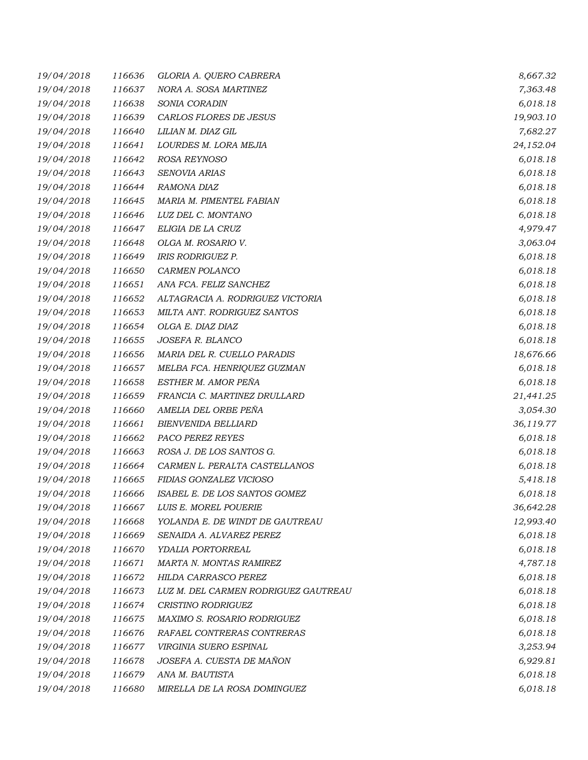| 19/04/2018 | 116636 | GLORIA A. QUERO CABRERA              | 8,667.32  |
|------------|--------|--------------------------------------|-----------|
| 19/04/2018 | 116637 | NORA A. SOSA MARTINEZ                | 7,363.48  |
| 19/04/2018 | 116638 | SONIA CORADIN                        | 6,018.18  |
| 19/04/2018 | 116639 | CARLOS FLORES DE JESUS               | 19,903.10 |
| 19/04/2018 | 116640 | LILIAN M. DIAZ GIL                   | 7,682.27  |
| 19/04/2018 | 116641 | LOURDES M. LORA MEJIA                | 24,152.04 |
| 19/04/2018 | 116642 | ROSA REYNOSO                         | 6,018.18  |
| 19/04/2018 | 116643 | SENOVIA ARIAS                        | 6,018.18  |
| 19/04/2018 | 116644 | RAMONA DIAZ                          | 6,018.18  |
| 19/04/2018 | 116645 | MARIA M. PIMENTEL FABIAN             | 6,018.18  |
| 19/04/2018 | 116646 | LUZ DEL C. MONTANO                   | 6,018.18  |
| 19/04/2018 | 116647 | ELIGIA DE LA CRUZ                    | 4,979.47  |
| 19/04/2018 | 116648 | OLGA M. ROSARIO V.                   | 3,063.04  |
| 19/04/2018 | 116649 | IRIS RODRIGUEZ P.                    | 6,018.18  |
| 19/04/2018 | 116650 | CARMEN POLANCO                       | 6,018.18  |
| 19/04/2018 | 116651 | ANA FCA. FELIZ SANCHEZ               | 6,018.18  |
| 19/04/2018 | 116652 | ALTAGRACIA A. RODRIGUEZ VICTORIA     | 6,018.18  |
| 19/04/2018 | 116653 | MILTA ANT. RODRIGUEZ SANTOS          | 6,018.18  |
| 19/04/2018 | 116654 | OLGA E. DIAZ DIAZ                    | 6,018.18  |
| 19/04/2018 | 116655 | JOSEFA R. BLANCO                     | 6,018.18  |
| 19/04/2018 | 116656 | MARIA DEL R. CUELLO PARADIS          | 18,676.66 |
| 19/04/2018 | 116657 | MELBA FCA. HENRIQUEZ GUZMAN          | 6,018.18  |
| 19/04/2018 | 116658 | ESTHER M. AMOR PEÑA                  | 6,018.18  |
| 19/04/2018 | 116659 | FRANCIA C. MARTINEZ DRULLARD         | 21,441.25 |
| 19/04/2018 | 116660 | AMELIA DEL ORBE PEÑA                 | 3,054.30  |
| 19/04/2018 | 116661 | <b>BIENVENIDA BELLIARD</b>           | 36,119.77 |
| 19/04/2018 | 116662 | PACO PEREZ REYES                     | 6,018.18  |
| 19/04/2018 | 116663 | ROSA J. DE LOS SANTOS G.             | 6,018.18  |
| 19/04/2018 | 116664 | CARMEN L. PERALTA CASTELLANOS        | 6,018.18  |
| 19/04/2018 | 116665 | FIDIAS GONZALEZ VICIOSO              | 5,418.18  |
| 19/04/2018 | 116666 | ISABEL E. DE LOS SANTOS GOMEZ        | 6,018.18  |
| 19/04/2018 | 116667 | LUIS E. MOREL POUERIE                | 36,642.28 |
| 19/04/2018 | 116668 | YOLANDA E. DE WINDT DE GAUTREAU      | 12,993.40 |
| 19/04/2018 | 116669 | SENAIDA A. ALVAREZ PEREZ             | 6,018.18  |
| 19/04/2018 | 116670 | YDALIA PORTORREAL                    | 6,018.18  |
| 19/04/2018 | 116671 | MARTA N. MONTAS RAMIREZ              | 4,787.18  |
| 19/04/2018 | 116672 | <b>HILDA CARRASCO PEREZ</b>          | 6,018.18  |
| 19/04/2018 | 116673 | LUZ M. DEL CARMEN RODRIGUEZ GAUTREAU | 6,018.18  |
| 19/04/2018 | 116674 | CRISTINO RODRIGUEZ                   | 6,018.18  |
| 19/04/2018 | 116675 | MAXIMO S. ROSARIO RODRIGUEZ          | 6,018.18  |
| 19/04/2018 | 116676 | RAFAEL CONTRERAS CONTRERAS           | 6,018.18  |
| 19/04/2018 | 116677 | VIRGINIA SUERO ESPINAL               | 3,253.94  |
| 19/04/2018 | 116678 | JOSEFA A. CUESTA DE MAÑON            | 6,929.81  |
| 19/04/2018 | 116679 | ANA M. BAUTISTA                      | 6,018.18  |
| 19/04/2018 | 116680 | MIRELLA DE LA ROSA DOMINGUEZ         | 6,018.18  |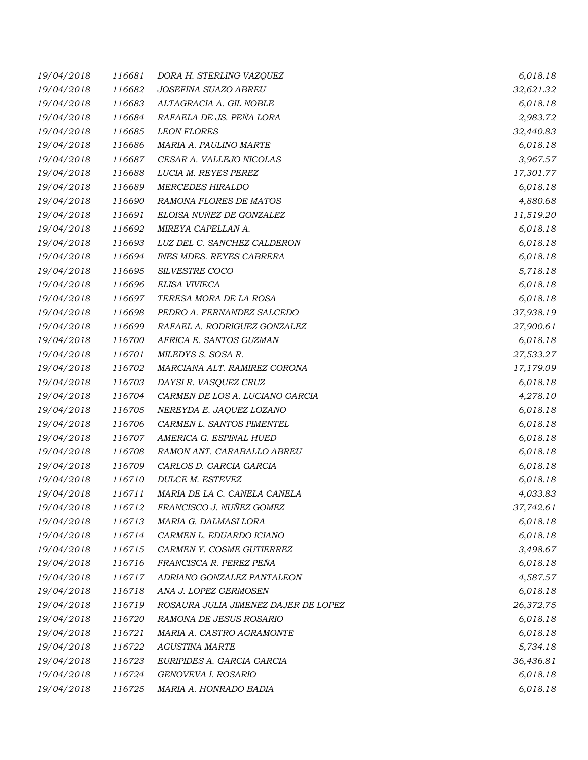| 19/04/2018 | 116681 | DORA H. STERLING VAZQUEZ             | 6,018.18  |
|------------|--------|--------------------------------------|-----------|
| 19/04/2018 | 116682 | JOSEFINA SUAZO ABREU                 | 32,621.32 |
| 19/04/2018 | 116683 | ALTAGRACIA A. GIL NOBLE              | 6,018.18  |
| 19/04/2018 | 116684 | RAFAELA DE JS. PEÑA LORA             | 2,983.72  |
| 19/04/2018 | 116685 | <b>LEON FLORES</b>                   | 32,440.83 |
| 19/04/2018 | 116686 | MARIA A. PAULINO MARTE               | 6,018.18  |
| 19/04/2018 | 116687 | CESAR A. VALLEJO NICOLAS             | 3,967.57  |
| 19/04/2018 | 116688 | LUCIA M. REYES PEREZ                 | 17,301.77 |
| 19/04/2018 | 116689 | <b>MERCEDES HIRALDO</b>              | 6,018.18  |
| 19/04/2018 | 116690 | RAMONA FLORES DE MATOS               | 4,880.68  |
| 19/04/2018 | 116691 | ELOISA NUÑEZ DE GONZALEZ             | 11,519.20 |
| 19/04/2018 | 116692 | MIREYA CAPELLAN A.                   | 6,018.18  |
| 19/04/2018 | 116693 | LUZ DEL C. SANCHEZ CALDERON          | 6,018.18  |
| 19/04/2018 | 116694 | <b>INES MDES. REYES CABRERA</b>      | 6,018.18  |
| 19/04/2018 | 116695 | <b>SILVESTRE COCO</b>                | 5,718.18  |
| 19/04/2018 | 116696 | ELISA VIVIECA                        | 6,018.18  |
| 19/04/2018 | 116697 | TERESA MORA DE LA ROSA               | 6,018.18  |
| 19/04/2018 | 116698 | PEDRO A. FERNANDEZ SALCEDO           | 37,938.19 |
| 19/04/2018 | 116699 | RAFAEL A. RODRIGUEZ GONZALEZ         | 27,900.61 |
| 19/04/2018 | 116700 | AFRICA E. SANTOS GUZMAN              | 6,018.18  |
| 19/04/2018 | 116701 | MILEDYS S. SOSA R.                   | 27,533.27 |
| 19/04/2018 | 116702 | MARCIANA ALT. RAMIREZ CORONA         | 17,179.09 |
| 19/04/2018 | 116703 | DAYSI R. VASQUEZ CRUZ                | 6,018.18  |
| 19/04/2018 | 116704 | CARMEN DE LOS A. LUCIANO GARCIA      | 4,278.10  |
| 19/04/2018 | 116705 | NEREYDA E. JAQUEZ LOZANO             | 6,018.18  |
| 19/04/2018 | 116706 | CARMEN L. SANTOS PIMENTEL            | 6,018.18  |
| 19/04/2018 | 116707 | AMERICA G. ESPINAL HUED              | 6,018.18  |
| 19/04/2018 | 116708 | RAMON ANT. CARABALLO ABREU           | 6,018.18  |
| 19/04/2018 | 116709 | CARLOS D. GARCIA GARCIA              | 6,018.18  |
| 19/04/2018 | 116710 | DULCE M. ESTEVEZ                     | 6,018.18  |
| 19/04/2018 | 116711 | MARIA DE LA C. CANELA CANELA         | 4,033.83  |
| 19/04/2018 | 116712 | FRANCISCO J. NUÑEZ GOMEZ             | 37,742.61 |
| 19/04/2018 | 116713 | MARIA G. DALMASI LORA                | 6,018.18  |
| 19/04/2018 | 116714 | CARMEN L. EDUARDO ICIANO             | 6,018.18  |
| 19/04/2018 | 116715 | CARMEN Y. COSME GUTIERREZ            | 3,498.67  |
| 19/04/2018 | 116716 | FRANCISCA R. PEREZ PEÑA              | 6,018.18  |
| 19/04/2018 | 116717 | ADRIANO GONZALEZ PANTALEON           | 4,587.57  |
| 19/04/2018 | 116718 | ANA J. LOPEZ GERMOSEN                | 6,018.18  |
| 19/04/2018 | 116719 | ROSAURA JULIA JIMENEZ DAJER DE LOPEZ | 26,372.75 |
| 19/04/2018 | 116720 | RAMONA DE JESUS ROSARIO              | 6,018.18  |
| 19/04/2018 | 116721 | MARIA A. CASTRO AGRAMONTE            | 6,018.18  |
| 19/04/2018 | 116722 | <b>AGUSTINA MARTE</b>                | 5,734.18  |
| 19/04/2018 | 116723 | EURIPIDES A. GARCIA GARCIA           | 36,436.81 |
| 19/04/2018 | 116724 | GENOVEVA I. ROSARIO                  | 6,018.18  |
| 19/04/2018 | 116725 | MARIA A. HONRADO BADIA               | 6,018.18  |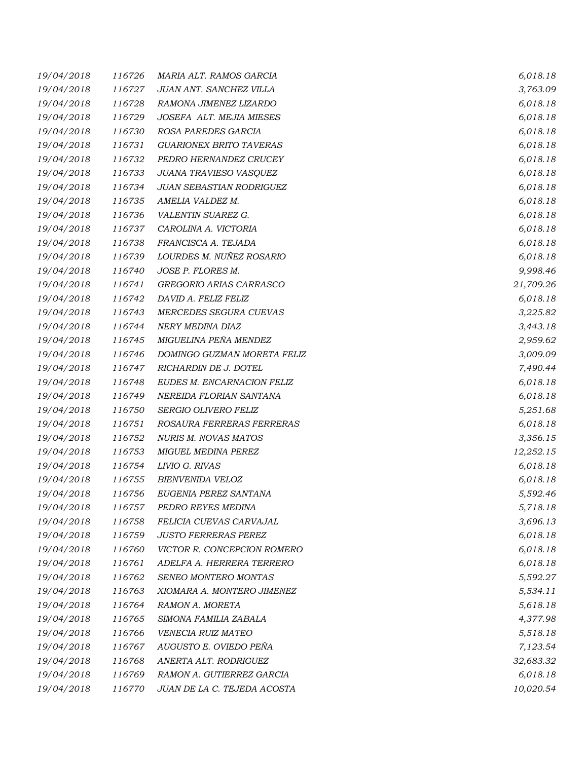| 19/04/2018 | 116726 | MARIA ALT. RAMOS GARCIA        | 6,018.18  |
|------------|--------|--------------------------------|-----------|
| 19/04/2018 | 116727 | JUAN ANT. SANCHEZ VILLA        | 3,763.09  |
| 19/04/2018 | 116728 | RAMONA JIMENEZ LIZARDO         | 6,018.18  |
| 19/04/2018 | 116729 | JOSEFA ALT. MEJIA MIESES       | 6,018.18  |
| 19/04/2018 | 116730 | ROSA PAREDES GARCIA            | 6,018.18  |
| 19/04/2018 | 116731 | <b>GUARIONEX BRITO TAVERAS</b> | 6,018.18  |
| 19/04/2018 | 116732 | PEDRO HERNANDEZ CRUCEY         | 6,018.18  |
| 19/04/2018 | 116733 | JUANA TRAVIESO VASQUEZ         | 6,018.18  |
| 19/04/2018 | 116734 | JUAN SEBASTIAN RODRIGUEZ       | 6,018.18  |
| 19/04/2018 | 116735 | AMELIA VALDEZ M.               | 6,018.18  |
| 19/04/2018 | 116736 | VALENTIN SUAREZ G.             | 6,018.18  |
| 19/04/2018 | 116737 | CAROLINA A. VICTORIA           | 6,018.18  |
| 19/04/2018 | 116738 | FRANCISCA A. TEJADA            | 6,018.18  |
| 19/04/2018 | 116739 | LOURDES M. NUÑEZ ROSARIO       | 6,018.18  |
| 19/04/2018 | 116740 | JOSE P. FLORES M.              | 9,998.46  |
| 19/04/2018 | 116741 | GREGORIO ARIAS CARRASCO        | 21,709.26 |
| 19/04/2018 | 116742 | DAVID A. FELIZ FELIZ           | 6,018.18  |
| 19/04/2018 | 116743 | MERCEDES SEGURA CUEVAS         | 3,225.82  |
| 19/04/2018 | 116744 | NERY MEDINA DIAZ               | 3,443.18  |
| 19/04/2018 | 116745 | MIGUELINA PEÑA MENDEZ          | 2,959.62  |
| 19/04/2018 | 116746 | DOMINGO GUZMAN MORETA FELIZ    | 3,009.09  |
| 19/04/2018 | 116747 | RICHARDIN DE J. DOTEL          | 7,490.44  |
| 19/04/2018 | 116748 | EUDES M. ENCARNACION FELIZ     | 6,018.18  |
| 19/04/2018 | 116749 | NEREIDA FLORIAN SANTANA        | 6,018.18  |
| 19/04/2018 | 116750 | SERGIO OLIVERO FELIZ           | 5,251.68  |
| 19/04/2018 | 116751 | ROSAURA FERRERAS FERRERAS      | 6,018.18  |
| 19/04/2018 | 116752 | NURIS M. NOVAS MATOS           | 3,356.15  |
| 19/04/2018 | 116753 | MIGUEL MEDINA PEREZ            | 12,252.15 |
| 19/04/2018 | 116754 | LIVIO G. RIVAS                 | 6,018.18  |
| 19/04/2018 | 116755 | <b>BIENVENIDA VELOZ</b>        | 6,018.18  |
| 19/04/2018 | 116756 | EUGENIA PEREZ SANTANA          | 5,592.46  |
| 19/04/2018 | 116757 | PEDRO REYES MEDINA             | 5,718.18  |
| 19/04/2018 | 116758 | FELICIA CUEVAS CARVAJAL        | 3,696.13  |
| 19/04/2018 | 116759 | <b>JUSTO FERRERAS PEREZ</b>    | 6,018.18  |
| 19/04/2018 | 116760 | VICTOR R. CONCEPCION ROMERO    | 6,018.18  |
| 19/04/2018 | 116761 | ADELFA A. HERRERA TERRERO      | 6,018.18  |
| 19/04/2018 | 116762 | SENEO MONTERO MONTAS           | 5,592.27  |
| 19/04/2018 | 116763 | XIOMARA A. MONTERO JIMENEZ     | 5,534.11  |
| 19/04/2018 | 116764 | RAMON A. MORETA                | 5,618.18  |
| 19/04/2018 | 116765 | SIMONA FAMILIA ZABALA          | 4,377.98  |
| 19/04/2018 | 116766 | VENECIA RUIZ MATEO             | 5,518.18  |
| 19/04/2018 | 116767 | AUGUSTO E. OVIEDO PEÑA         | 7,123.54  |
| 19/04/2018 | 116768 | ANERTA ALT. RODRIGUEZ          | 32,683.32 |
| 19/04/2018 | 116769 | RAMON A. GUTIERREZ GARCIA      | 6,018.18  |
| 19/04/2018 | 116770 | JUAN DE LA C. TEJEDA ACOSTA    | 10,020.54 |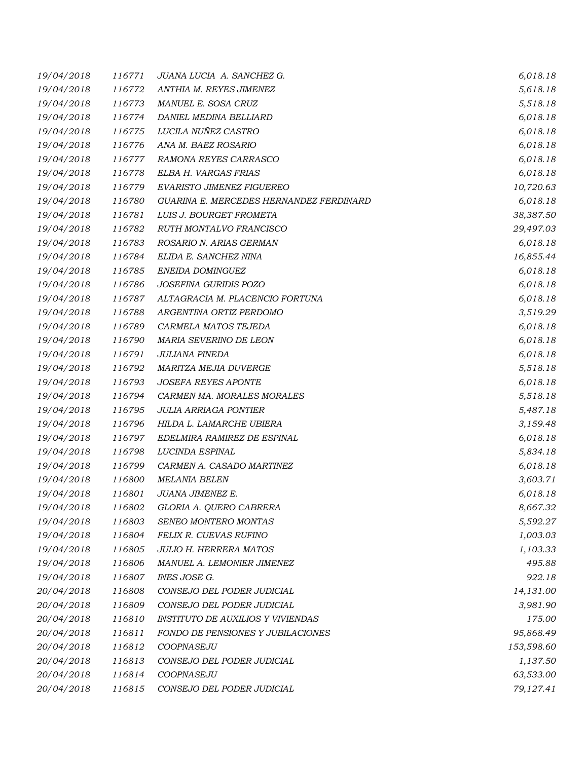| 19/04/2018 | 116771 | JUANA LUCIA A. SANCHEZ G.                | 6,018.18   |
|------------|--------|------------------------------------------|------------|
| 19/04/2018 | 116772 | ANTHIA M. REYES JIMENEZ                  | 5,618.18   |
| 19/04/2018 | 116773 | MANUEL E. SOSA CRUZ                      | 5,518.18   |
| 19/04/2018 | 116774 | DANIEL MEDINA BELLIARD                   | 6,018.18   |
| 19/04/2018 | 116775 | LUCILA NUÑEZ CASTRO                      | 6,018.18   |
| 19/04/2018 | 116776 | ANA M. BAEZ ROSARIO                      | 6,018.18   |
| 19/04/2018 | 116777 | RAMONA REYES CARRASCO                    | 6,018.18   |
| 19/04/2018 | 116778 | ELBA H. VARGAS FRIAS                     | 6,018.18   |
| 19/04/2018 | 116779 | EVARISTO JIMENEZ FIGUEREO                | 10,720.63  |
| 19/04/2018 | 116780 | GUARINA E. MERCEDES HERNANDEZ FERDINARD  | 6,018.18   |
| 19/04/2018 | 116781 | LUIS J. BOURGET FROMETA                  | 38,387.50  |
| 19/04/2018 | 116782 | RUTH MONTALVO FRANCISCO                  | 29,497.03  |
| 19/04/2018 | 116783 | ROSARIO N. ARIAS GERMAN                  | 6,018.18   |
| 19/04/2018 | 116784 | ELIDA E. SANCHEZ NINA                    | 16,855.44  |
| 19/04/2018 | 116785 | ENEIDA DOMINGUEZ                         | 6,018.18   |
| 19/04/2018 | 116786 | JOSEFINA GURIDIS POZO                    | 6,018.18   |
| 19/04/2018 | 116787 | ALTAGRACIA M. PLACENCIO FORTUNA          | 6,018.18   |
| 19/04/2018 | 116788 | ARGENTINA ORTIZ PERDOMO                  | 3,519.29   |
| 19/04/2018 | 116789 | CARMELA MATOS TEJEDA                     | 6,018.18   |
| 19/04/2018 | 116790 | MARIA SEVERINO DE LEON                   | 6,018.18   |
| 19/04/2018 | 116791 | <b>JULIANA PINEDA</b>                    | 6,018.18   |
| 19/04/2018 | 116792 | MARITZA MEJIA DUVERGE                    | 5,518.18   |
| 19/04/2018 | 116793 | <b>JOSEFA REYES APONTE</b>               | 6,018.18   |
| 19/04/2018 | 116794 | CARMEN MA. MORALES MORALES               | 5,518.18   |
| 19/04/2018 | 116795 | <b>JULIA ARRIAGA PONTIER</b>             | 5,487.18   |
| 19/04/2018 | 116796 | HILDA L. LAMARCHE UBIERA                 | 3,159.48   |
| 19/04/2018 | 116797 | EDELMIRA RAMIREZ DE ESPINAL              | 6,018.18   |
| 19/04/2018 | 116798 | LUCINDA ESPINAL                          | 5,834.18   |
| 19/04/2018 | 116799 | CARMEN A. CASADO MARTINEZ                | 6,018.18   |
| 19/04/2018 | 116800 | <b>MELANIA BELEN</b>                     | 3,603.71   |
| 19/04/2018 | 116801 | JUANA JIMENEZ E.                         | 6,018.18   |
| 19/04/2018 | 116802 | GLORIA A. QUERO CABRERA                  | 8,667.32   |
| 19/04/2018 | 116803 | SENEO MONTERO MONTAS                     | 5,592.27   |
| 19/04/2018 | 116804 | FELIX R. CUEVAS RUFINO                   | 1,003.03   |
| 19/04/2018 | 116805 | <b>JULIO H. HERRERA MATOS</b>            | 1,103.33   |
| 19/04/2018 | 116806 | MANUEL A. LEMONIER JIMENEZ               | 495.88     |
| 19/04/2018 | 116807 | <b>INES JOSE G.</b>                      | 922.18     |
| 20/04/2018 | 116808 | CONSEJO DEL PODER JUDICIAL               | 14,131.00  |
| 20/04/2018 | 116809 | CONSEJO DEL PODER JUDICIAL               | 3,981.90   |
| 20/04/2018 | 116810 | <b>INSTITUTO DE AUXILIOS Y VIVIENDAS</b> | 175.00     |
| 20/04/2018 | 116811 | FONDO DE PENSIONES Y JUBILACIONES        | 95,868.49  |
| 20/04/2018 | 116812 | COOPNASEJU                               | 153,598.60 |
| 20/04/2018 | 116813 | CONSEJO DEL PODER JUDICIAL               | 1,137.50   |
| 20/04/2018 | 116814 | COOPNASEJU                               | 63,533.00  |
| 20/04/2018 | 116815 | CONSEJO DEL PODER JUDICIAL               | 79,127.41  |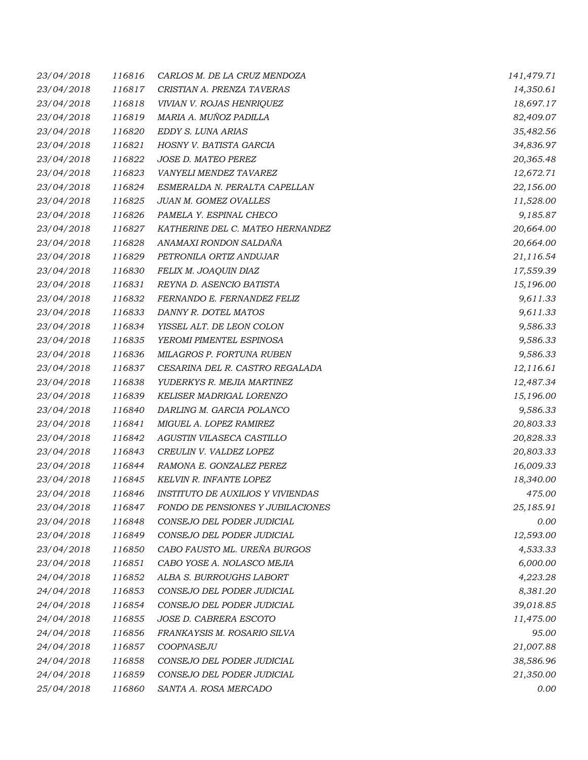| 23/04/2018 | 116816 | CARLOS M. DE LA CRUZ MENDOZA             | 141,479.71 |
|------------|--------|------------------------------------------|------------|
| 23/04/2018 | 116817 | CRISTIAN A. PRENZA TAVERAS               | 14,350.61  |
| 23/04/2018 | 116818 | VIVIAN V. ROJAS HENRIQUEZ                | 18,697.17  |
| 23/04/2018 | 116819 | MARIA A. MUÑOZ PADILLA                   | 82,409.07  |
| 23/04/2018 | 116820 | EDDY S. LUNA ARIAS                       | 35,482.56  |
| 23/04/2018 | 116821 | HOSNY V. BATISTA GARCIA                  | 34,836.97  |
| 23/04/2018 | 116822 | JOSE D. MATEO PEREZ                      | 20,365.48  |
| 23/04/2018 | 116823 | VANYELI MENDEZ TAVAREZ                   | 12,672.71  |
| 23/04/2018 | 116824 | ESMERALDA N. PERALTA CAPELLAN            | 22,156.00  |
| 23/04/2018 | 116825 | JUAN M. GOMEZ OVALLES                    | 11,528.00  |
| 23/04/2018 | 116826 | PAMELA Y. ESPINAL CHECO                  | 9,185.87   |
| 23/04/2018 | 116827 | KATHERINE DEL C. MATEO HERNANDEZ         | 20,664.00  |
| 23/04/2018 | 116828 | ANAMAXI RONDON SALDAÑA                   | 20,664.00  |
| 23/04/2018 | 116829 | PETRONILA ORTIZ ANDUJAR                  | 21,116.54  |
| 23/04/2018 | 116830 | FELIX M. JOAQUIN DIAZ                    | 17,559.39  |
| 23/04/2018 | 116831 | REYNA D. ASENCIO BATISTA                 | 15,196.00  |
| 23/04/2018 | 116832 | FERNANDO E. FERNANDEZ FELIZ              | 9,611.33   |
| 23/04/2018 | 116833 | DANNY R. DOTEL MATOS                     | 9,611.33   |
| 23/04/2018 | 116834 | YISSEL ALT. DE LEON COLON                | 9,586.33   |
| 23/04/2018 | 116835 | YEROMI PIMENTEL ESPINOSA                 | 9,586.33   |
| 23/04/2018 | 116836 | MILAGROS P. FORTUNA RUBEN                | 9,586.33   |
| 23/04/2018 | 116837 | CESARINA DEL R. CASTRO REGALADA          | 12,116.61  |
| 23/04/2018 | 116838 | YUDERKYS R. MEJIA MARTINEZ               | 12,487.34  |
| 23/04/2018 | 116839 | KELISER MADRIGAL LORENZO                 | 15,196.00  |
| 23/04/2018 | 116840 | DARLING M. GARCIA POLANCO                | 9,586.33   |
| 23/04/2018 | 116841 | MIGUEL A. LOPEZ RAMIREZ                  | 20,803.33  |
| 23/04/2018 | 116842 | AGUSTIN VILASECA CASTILLO                | 20,828.33  |
| 23/04/2018 | 116843 | CREULIN V. VALDEZ LOPEZ                  | 20,803.33  |
| 23/04/2018 | 116844 | RAMONA E. GONZALEZ PEREZ                 | 16,009.33  |
| 23/04/2018 | 116845 | <b>KELVIN R. INFANTE LOPEZ</b>           | 18,340.00  |
| 23/04/2018 | 116846 | <b>INSTITUTO DE AUXILIOS Y VIVIENDAS</b> | 475.00     |
| 23/04/2018 | 116847 | FONDO DE PENSIONES Y JUBILACIONES        | 25,185.91  |
| 23/04/2018 | 116848 | CONSEJO DEL PODER JUDICIAL               | 0.00       |
| 23/04/2018 | 116849 | CONSEJO DEL PODER JUDICIAL               | 12,593.00  |
| 23/04/2018 | 116850 | CABO FAUSTO ML. UREÑA BURGOS             | 4,533.33   |
| 23/04/2018 | 116851 | CABO YOSE A. NOLASCO MEJIA               | 6,000.00   |
| 24/04/2018 | 116852 | ALBA S. BURROUGHS LABORT                 | 4,223.28   |
| 24/04/2018 | 116853 | CONSEJO DEL PODER JUDICIAL               | 8,381.20   |
| 24/04/2018 | 116854 | CONSEJO DEL PODER JUDICIAL               | 39,018.85  |
| 24/04/2018 | 116855 | JOSE D. CABRERA ESCOTO                   | 11,475.00  |
| 24/04/2018 | 116856 | FRANKAYSIS M. ROSARIO SILVA              | 95.00      |
| 24/04/2018 | 116857 | COOPNASEJU                               | 21,007.88  |
| 24/04/2018 | 116858 | CONSEJO DEL PODER JUDICIAL               | 38,586.96  |
| 24/04/2018 | 116859 | CONSEJO DEL PODER JUDICIAL               | 21,350.00  |
| 25/04/2018 | 116860 | SANTA A. ROSA MERCADO                    | 0.00       |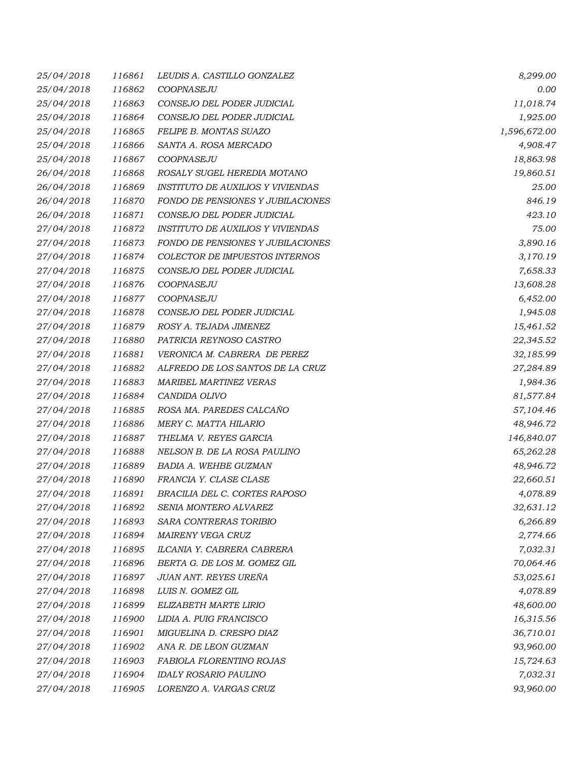| 25/04/2018 | 116861 | LEUDIS A. CASTILLO GONZALEZ              | 8,299.00     |
|------------|--------|------------------------------------------|--------------|
| 25/04/2018 | 116862 | COOPNASEJU                               | 0.00         |
| 25/04/2018 | 116863 | CONSEJO DEL PODER JUDICIAL               | 11,018.74    |
| 25/04/2018 | 116864 | CONSEJO DEL PODER JUDICIAL               | 1,925.00     |
| 25/04/2018 | 116865 | FELIPE B. MONTAS SUAZO                   | 1,596,672.00 |
| 25/04/2018 | 116866 | SANTA A. ROSA MERCADO                    | 4,908.47     |
| 25/04/2018 | 116867 | COOPNASEJU                               | 18,863.98    |
| 26/04/2018 | 116868 | ROSALY SUGEL HEREDIA MOTANO              | 19,860.51    |
| 26/04/2018 | 116869 | <b>INSTITUTO DE AUXILIOS Y VIVIENDAS</b> | 25.00        |
| 26/04/2018 | 116870 | FONDO DE PENSIONES Y JUBILACIONES        | 846.19       |
| 26/04/2018 | 116871 | CONSEJO DEL PODER JUDICIAL               | 423.10       |
| 27/04/2018 | 116872 | <b>INSTITUTO DE AUXILIOS Y VIVIENDAS</b> | 75.00        |
| 27/04/2018 | 116873 | FONDO DE PENSIONES Y JUBILACIONES        | 3,890.16     |
| 27/04/2018 | 116874 | COLECTOR DE IMPUESTOS INTERNOS           | 3,170.19     |
| 27/04/2018 | 116875 | CONSEJO DEL PODER JUDICIAL               | 7,658.33     |
| 27/04/2018 | 116876 | COOPNASEJU                               | 13,608.28    |
| 27/04/2018 | 116877 | COOPNASEJU                               | 6,452.00     |
| 27/04/2018 | 116878 | CONSEJO DEL PODER JUDICIAL               | 1,945.08     |
| 27/04/2018 | 116879 | ROSY A. TEJADA JIMENEZ                   | 15,461.52    |
| 27/04/2018 | 116880 | PATRICIA REYNOSO CASTRO                  | 22,345.52    |
| 27/04/2018 | 116881 | VERONICA M. CABRERA DE PEREZ             | 32,185.99    |
| 27/04/2018 | 116882 | ALFREDO DE LOS SANTOS DE LA CRUZ         | 27,284.89    |
| 27/04/2018 | 116883 | <b>MARIBEL MARTINEZ VERAS</b>            | 1,984.36     |
| 27/04/2018 | 116884 | CANDIDA OLIVO                            | 81,577.84    |
| 27/04/2018 | 116885 | ROSA MA. PAREDES CALCAÑO                 | 57,104.46    |
| 27/04/2018 | 116886 | MERY C. MATTA HILARIO                    | 48,946.72    |
| 27/04/2018 | 116887 | THELMA V. REYES GARCIA                   | 146,840.07   |
| 27/04/2018 | 116888 | NELSON B. DE LA ROSA PAULINO             | 65,262.28    |
| 27/04/2018 | 116889 | BADIA A. WEHBE GUZMAN                    | 48,946.72    |
| 27/04/2018 | 116890 | FRANCIA Y. CLASE CLASE                   | 22,660.51    |
| 27/04/2018 | 116891 | BRACILIA DEL C. CORTES RAPOSO            | 4,078.89     |
| 27/04/2018 | 116892 | SENIA MONTERO ALVAREZ                    | 32,631.12    |
| 27/04/2018 | 116893 | SARA CONTRERAS TORIBIO                   | 6,266.89     |
| 27/04/2018 | 116894 | MAIRENY VEGA CRUZ                        | 2,774.66     |
| 27/04/2018 | 116895 | ILCANIA Y. CABRERA CABRERA               | 7,032.31     |
| 27/04/2018 | 116896 | BERTA G. DE LOS M. GOMEZ GIL             | 70,064.46    |
| 27/04/2018 | 116897 | JUAN ANT. REYES UREÑA                    | 53,025.61    |
| 27/04/2018 | 116898 | LUIS N. GOMEZ GIL                        | 4,078.89     |
| 27/04/2018 | 116899 | ELIZABETH MARTE LIRIO                    | 48,600.00    |
| 27/04/2018 | 116900 | LIDIA A. PUIG FRANCISCO                  | 16,315.56    |
| 27/04/2018 | 116901 | MIGUELINA D. CRESPO DIAZ                 | 36,710.01    |
| 27/04/2018 | 116902 | ANA R. DE LEON GUZMAN                    | 93,960.00    |
| 27/04/2018 | 116903 | FABIOLA FLORENTINO ROJAS                 | 15,724.63    |
| 27/04/2018 | 116904 | <b>IDALY ROSARIO PAULINO</b>             | 7,032.31     |
| 27/04/2018 | 116905 | LORENZO A. VARGAS CRUZ                   | 93,960.00    |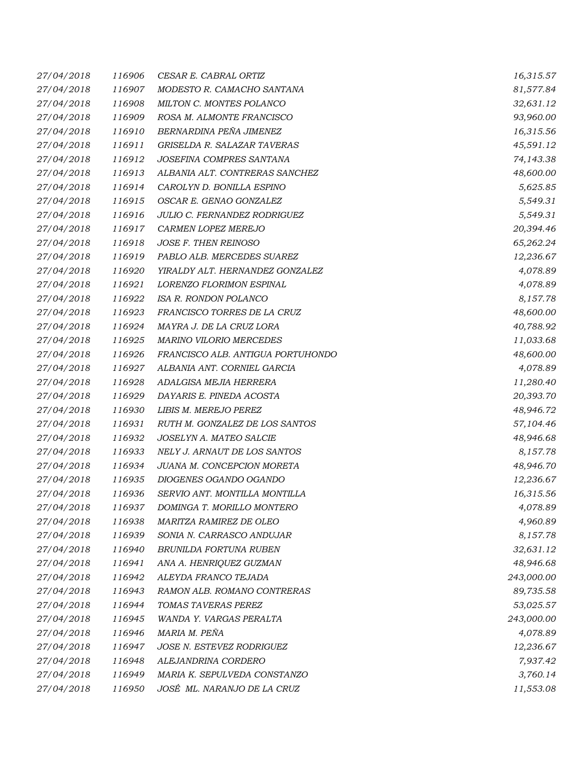| 27/04/2018 | 116906 | CESAR E. CABRAL ORTIZ               | 16,315.57  |
|------------|--------|-------------------------------------|------------|
| 27/04/2018 | 116907 | MODESTO R. CAMACHO SANTANA          | 81,577.84  |
| 27/04/2018 | 116908 | MILTON C. MONTES POLANCO            | 32,631.12  |
| 27/04/2018 | 116909 | ROSA M. ALMONTE FRANCISCO           | 93,960.00  |
| 27/04/2018 | 116910 | BERNARDINA PEÑA JIMENEZ             | 16,315.56  |
| 27/04/2018 | 116911 | GRISELDA R. SALAZAR TAVERAS         | 45,591.12  |
| 27/04/2018 | 116912 | JOSEFINA COMPRES SANTANA            | 74,143.38  |
| 27/04/2018 | 116913 | ALBANIA ALT. CONTRERAS SANCHEZ      | 48,600.00  |
| 27/04/2018 | 116914 | CAROLYN D. BONILLA ESPINO           | 5,625.85   |
| 27/04/2018 | 116915 | OSCAR E. GENAO GONZALEZ             | 5,549.31   |
| 27/04/2018 | 116916 | <b>JULIO C. FERNANDEZ RODRIGUEZ</b> | 5,549.31   |
| 27/04/2018 | 116917 | CARMEN LOPEZ MEREJO                 | 20,394.46  |
| 27/04/2018 | 116918 | JOSE F. THEN REINOSO                | 65,262.24  |
| 27/04/2018 | 116919 | PABLO ALB. MERCEDES SUAREZ          | 12,236.67  |
| 27/04/2018 | 116920 | YIRALDY ALT. HERNANDEZ GONZALEZ     | 4,078.89   |
| 27/04/2018 | 116921 | LORENZO FLORIMON ESPINAL            | 4,078.89   |
| 27/04/2018 | 116922 | ISA R. RONDON POLANCO               | 8,157.78   |
| 27/04/2018 | 116923 | FRANCISCO TORRES DE LA CRUZ         | 48,600.00  |
| 27/04/2018 | 116924 | MAYRA J. DE LA CRUZ LORA            | 40,788.92  |
| 27/04/2018 | 116925 | <b>MARINO VILORIO MERCEDES</b>      | 11,033.68  |
| 27/04/2018 | 116926 | FRANCISCO ALB. ANTIGUA PORTUHONDO   | 48,600.00  |
| 27/04/2018 | 116927 | ALBANIA ANT. CORNIEL GARCIA         | 4,078.89   |
| 27/04/2018 | 116928 | ADALGISA MEJIA HERRERA              | 11,280.40  |
| 27/04/2018 | 116929 | DAYARIS E. PINEDA ACOSTA            | 20,393.70  |
| 27/04/2018 | 116930 | LIBIS M. MEREJO PEREZ               | 48,946.72  |
| 27/04/2018 | 116931 | RUTH M. GONZALEZ DE LOS SANTOS      | 57,104.46  |
| 27/04/2018 | 116932 | JOSELYN A. MATEO SALCIE             | 48,946.68  |
| 27/04/2018 | 116933 | NELY J. ARNAUT DE LOS SANTOS        | 8,157.78   |
| 27/04/2018 | 116934 | JUANA M. CONCEPCION MORETA          | 48,946.70  |
| 27/04/2018 | 116935 | DIOGENES OGANDO OGANDO              | 12,236.67  |
| 27/04/2018 | 116936 | SERVIO ANT. MONTILLA MONTILLA       | 16,315.56  |
| 27/04/2018 | 116937 | DOMINGA T. MORILLO MONTERO          | 4,078.89   |
| 27/04/2018 | 116938 | MARITZA RAMIREZ DE OLEO             | 4,960.89   |
| 27/04/2018 | 116939 | SONIA N. CARRASCO ANDUJAR           | 8,157.78   |
| 27/04/2018 | 116940 | BRUNILDA FORTUNA RUBEN              | 32,631.12  |
| 27/04/2018 | 116941 | ANA A. HENRIQUEZ GUZMAN             | 48,946.68  |
| 27/04/2018 | 116942 | ALEYDA FRANCO TEJADA                | 243,000.00 |
| 27/04/2018 | 116943 | RAMON ALB. ROMANO CONTRERAS         | 89,735.58  |
| 27/04/2018 | 116944 | TOMAS TAVERAS PEREZ                 | 53,025.57  |
| 27/04/2018 | 116945 | WANDA Y. VARGAS PERALTA             | 243,000.00 |
| 27/04/2018 | 116946 | MARIA M. PEÑA                       | 4,078.89   |
| 27/04/2018 | 116947 | <b>JOSE N. ESTEVEZ RODRIGUEZ</b>    | 12,236.67  |
| 27/04/2018 | 116948 | ALEJANDRINA CORDERO                 | 7,937.42   |
| 27/04/2018 | 116949 | MARIA K. SEPULVEDA CONSTANZO        | 3,760.14   |
| 27/04/2018 | 116950 | JOSÉ ML. NARANJO DE LA CRUZ         | 11,553.08  |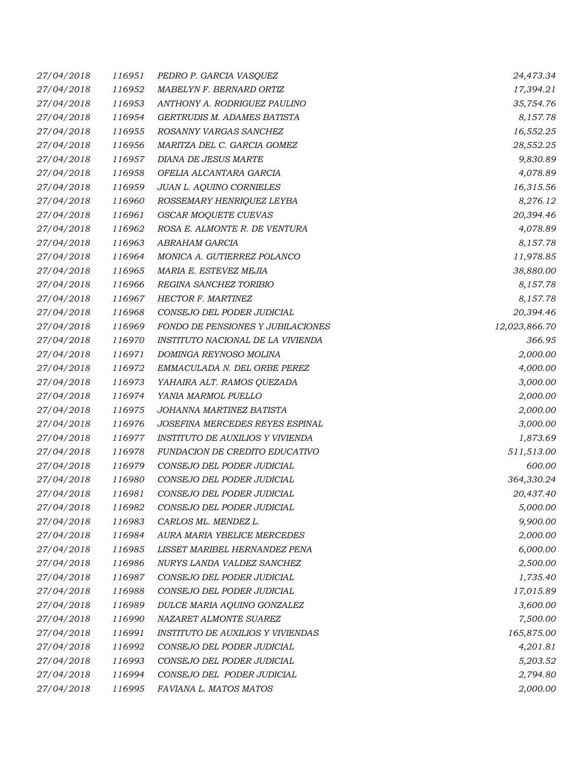| 27/04/2018 | 116951 | PEDRO P. GARCIA VASQUEZ                  | 24,473.34     |
|------------|--------|------------------------------------------|---------------|
| 27/04/2018 | 116952 | MABELYN F. BERNARD ORTIZ                 | 17,394.21     |
| 27/04/2018 | 116953 | ANTHONY A. RODRIGUEZ PAULINO             | 35,754.76     |
| 27/04/2018 | 116954 | GERTRUDIS M. ADAMES BATISTA              | 8,157.78      |
| 27/04/2018 | 116955 | ROSANNY VARGAS SANCHEZ                   | 16,552.25     |
| 27/04/2018 | 116956 | MARITZA DEL C. GARCIA GOMEZ              | 28,552.25     |
| 27/04/2018 | 116957 | DIANA DE JESUS MARTE                     | 9,830.89      |
| 27/04/2018 | 116958 | OFELIA ALCANTARA GARCIA                  | 4,078.89      |
| 27/04/2018 | 116959 | JUAN L. AQUINO CORNIELES                 | 16,315.56     |
| 27/04/2018 | 116960 | ROSSEMARY HENRIQUEZ LEYBA                | 8,276.12      |
| 27/04/2018 | 116961 | OSCAR MOQUETE CUEVAS                     | 20,394.46     |
| 27/04/2018 | 116962 | ROSA E. ALMONTE R. DE VENTURA            | 4,078.89      |
| 27/04/2018 | 116963 | ABRAHAM GARCIA                           | 8,157.78      |
| 27/04/2018 | 116964 | MONICA A. GUTIERREZ POLANCO              | 11,978.85     |
| 27/04/2018 | 116965 | MARIA E. ESTEVEZ MEJIA                   | 38,880.00     |
| 27/04/2018 | 116966 | REGINA SANCHEZ TORIBIO                   | 8,157.78      |
| 27/04/2018 | 116967 | HECTOR F. MARTINEZ                       | 8,157.78      |
| 27/04/2018 | 116968 | CONSEJO DEL PODER JUDICIAL               | 20,394.46     |
| 27/04/2018 | 116969 | FONDO DE PENSIONES Y JUBILACIONES        | 12,023,866.70 |
| 27/04/2018 | 116970 | INSTITUTO NACIONAL DE LA VIVIENDA        | 366.95        |
| 27/04/2018 | 116971 | DOMINGA REYNOSO MOLINA                   | 2,000.00      |
| 27/04/2018 | 116972 | EMMACULADA N. DEL ORBE PEREZ             | 4,000.00      |
| 27/04/2018 | 116973 | YAHAIRA ALT. RAMOS QUEZADA               | 3,000.00      |
| 27/04/2018 | 116974 | YANIA MARMOL PUELLO                      | 2,000.00      |
| 27/04/2018 | 116975 | JOHANNA MARTINEZ BATISTA                 | 2,000.00      |
| 27/04/2018 | 116976 | JOSEFINA MERCEDES REYES ESPINAL          | 3,000.00      |
| 27/04/2018 | 116977 | INSTITUTO DE AUXILIOS Y VIVIENDA         | 1,873.69      |
| 27/04/2018 | 116978 | FUNDACION DE CREDITO EDUCATIVO           | 511,513.00    |
| 27/04/2018 | 116979 | CONSEJO DEL PODER JUDICIAL               | 600.00        |
| 27/04/2018 | 116980 | CONSEJO DEL PODER JUDICIAL               | 364,330.24    |
| 27/04/2018 | 116981 | CONSEJO DEL PODER JUDICIAL               | 20,437.40     |
| 27/04/2018 | 116982 | CONSEJO DEL PODER JUDICIAL               | 5,000.00      |
| 27/04/2018 | 116983 | CARLOS ML. MENDEZ L.                     | 9,900.00      |
| 27/04/2018 | 116984 | AURA MARIA YBELICE MERCEDES              | 2,000.00      |
| 27/04/2018 | 116985 | LISSET MARIBEL HERNANDEZ PENA            | 6,000.00      |
| 27/04/2018 | 116986 | NURYS LANDA VALDEZ SANCHEZ               | 2,500.00      |
| 27/04/2018 | 116987 | CONSEJO DEL PODER JUDICIAL               | 1,735.40      |
| 27/04/2018 | 116988 | CONSEJO DEL PODER JUDICIAL               | 17,015.89     |
| 27/04/2018 | 116989 | DULCE MARIA AQUINO GONZALEZ              | 3,600.00      |
| 27/04/2018 | 116990 | NAZARET ALMONTE SUAREZ                   | 7,500.00      |
| 27/04/2018 | 116991 | <b>INSTITUTO DE AUXILIOS Y VIVIENDAS</b> | 165,875.00    |
| 27/04/2018 | 116992 | CONSEJO DEL PODER JUDICIAL               | 4,201.81      |
| 27/04/2018 | 116993 | CONSEJO DEL PODER JUDICIAL               | 5,203.52      |
| 27/04/2018 | 116994 | CONSEJO DEL PODER JUDICIAL               | 2,794.80      |
| 27/04/2018 | 116995 | FAVIANA L. MATOS MATOS                   | 2,000.00      |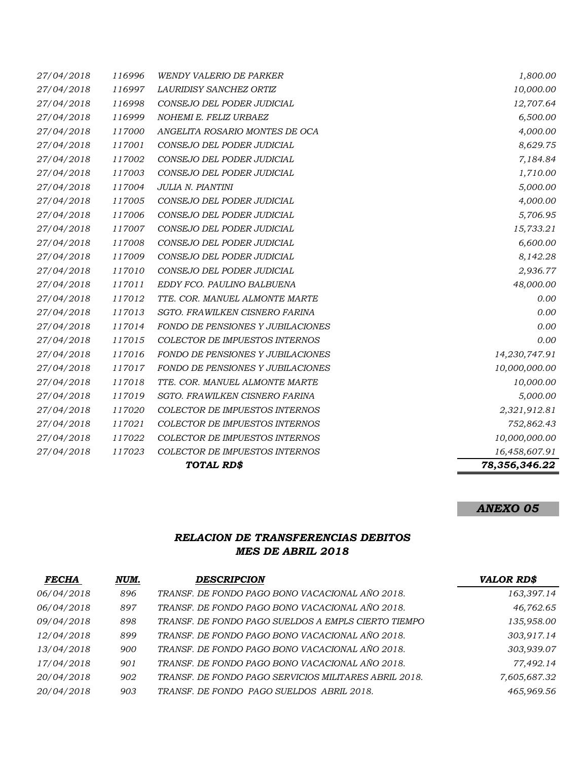|            |        | TOTAL RD\$                               | 78,356,346.22 |
|------------|--------|------------------------------------------|---------------|
| 27/04/2018 | 117023 | COLECTOR DE IMPUESTOS INTERNOS           | 16,458,607.91 |
| 27/04/2018 | 117022 | COLECTOR DE IMPUESTOS INTERNOS           | 10,000,000.00 |
| 27/04/2018 | 117021 | <b>COLECTOR DE IMPUESTOS INTERNOS</b>    | 752,862.43    |
| 27/04/2018 | 117020 | COLECTOR DE IMPUESTOS INTERNOS           | 2,321,912.81  |
| 27/04/2018 | 117019 | SGTO. FRAWILKEN CISNERO FARINA           | 5,000.00      |
| 27/04/2018 | 117018 | TTE. COR. MANUEL ALMONTE MARTE           | 10,000.00     |
| 27/04/2018 | 117017 | <b>FONDO DE PENSIONES Y JUBILACIONES</b> | 10,000,000.00 |
| 27/04/2018 | 117016 | FONDO DE PENSIONES Y JUBILACIONES        | 14,230,747.91 |
| 27/04/2018 | 117015 | COLECTOR DE IMPUESTOS INTERNOS           | 0.00          |
| 27/04/2018 | 117014 | FONDO DE PENSIONES Y JUBILACIONES        | 0.00          |
| 27/04/2018 | 117013 | SGTO. FRAWILKEN CISNERO FARINA           | 0.00          |
| 27/04/2018 | 117012 | TTE. COR. MANUEL ALMONTE MARTE           | 0.00          |
| 27/04/2018 | 117011 | EDDY FCO. PAULINO BALBUENA               | 48,000.00     |
| 27/04/2018 | 117010 | CONSEJO DEL PODER JUDICIAL               | 2,936.77      |
| 27/04/2018 | 117009 | CONSEJO DEL PODER JUDICIAL               | 8,142.28      |
| 27/04/2018 | 117008 | CONSEJO DEL PODER JUDICIAL               | 6,600.00      |
| 27/04/2018 | 117007 | CONSEJO DEL PODER JUDICIAL               | 15,733.21     |
| 27/04/2018 | 117006 | CONSEJO DEL PODER JUDICIAL               | 5,706.95      |
| 27/04/2018 | 117005 | CONSEJO DEL PODER JUDICIAL               | 4,000.00      |
| 27/04/2018 | 117004 | JULIA N. PIANTINI                        | 5,000.00      |
| 27/04/2018 | 117003 | CONSEJO DEL PODER JUDICIAL               | 1,710.00      |
| 27/04/2018 | 117002 | CONSEJO DEL PODER JUDICIAL               | 7,184.84      |
| 27/04/2018 | 117001 | CONSEJO DEL PODER JUDICIAL               | 8,629.75      |
| 27/04/2018 | 117000 | ANGELITA ROSARIO MONTES DE OCA           | 4,000.00      |
| 27/04/2018 | 116999 | NOHEMI E. FELIZ URBAEZ                   | 6,500.00      |
| 27/04/2018 | 116998 | CONSEJO DEL PODER JUDICIAL               | 12,707.64     |
| 27/04/2018 | 116997 | LAURIDISY SANCHEZ ORTIZ                  | 10,000.00     |
| 27/04/2018 | 116996 | WENDY VALERIO DE PARKER                  | 1,800.00      |

# *ANEXO 05*

#### *RELACION DE TRANSFERENCIAS DEBITOS MES DE ABRIL 2018*

| <b>FECHA</b> | NUM. | <b>DESCRIPCION</b>                                    | <b>VALOR RD\$</b> |
|--------------|------|-------------------------------------------------------|-------------------|
| 06/04/2018   | 896  | TRANSF. DE FONDO PAGO BONO VACACIONAL AÑO 2018.       | 163,397.14        |
| 06/04/2018   | 897  | TRANSF. DE FONDO PAGO BONO VACACIONAL AÑO 2018.       | 46,762.65         |
| 09/04/2018   | 898  | TRANSF. DE FONDO PAGO SUELDOS A EMPLS CIERTO TIEMPO   | 135,958.00        |
| 12/04/2018   | 899  | TRANSF. DE FONDO PAGO BONO VACACIONAL AÑO 2018.       | 303.917.14        |
| 13/04/2018   | 900  | TRANSF. DE FONDO PAGO BONO VACACIONAL AÑO 2018.       | 303,939.07        |
| 17/04/2018   | 901  | TRANSF. DE FONDO PAGO BONO VACACIONAL AÑO 2018.       | 77,492.14         |
| 20/04/2018   | 902  | TRANSF. DE FONDO PAGO SERVICIOS MILITARES ABRIL 2018. | 7,605,687.32      |
| 20/04/2018   | 903  | TRANSF. DE FONDO PAGO SUELDOS ABRIL 2018.             | 465,969.56        |